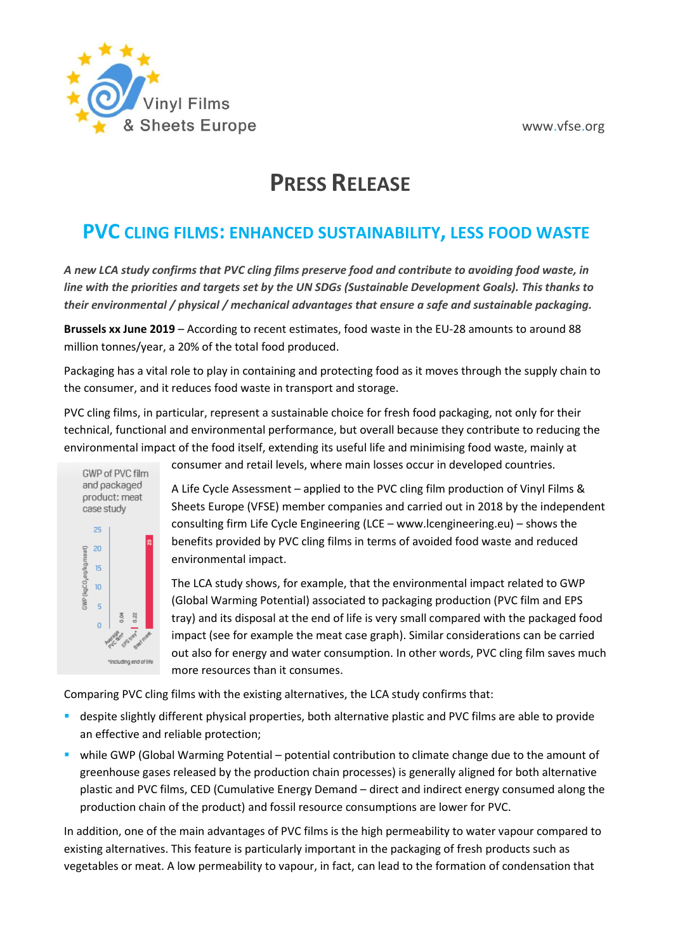

# **PRESS RELEASE**

## **PVC CLING FILMS: ENHANCED SUSTAINABILITY, LESS FOOD WASTE**

*A new LCA study confirms that PVC cling films preserve food and contribute to avoiding food waste, in line with the priorities and targets set by the UN SDGs (Sustainable Development Goals). This thanks to their environmental / physical / mechanical advantages that ensure a safe and sustainable packaging.*

**Brussels xx June 2019** – According to recent estimates, food waste in the EU-28 amounts to around 88 million tonnes/year, a 20% of the total food produced.

Packaging has a vital role to play in containing and protecting food as it moves through the supply chain to the consumer, and it reduces food waste in transport and storage.

PVC cling films, in particular, represent a sustainable choice for fresh food packaging, not only for their technical, functional and environmental performance, but overall because they contribute to reducing the environmental impact of the food itself, extending its useful life and minimising food waste, mainly at



consumer and retail levels, where main losses occur in developed countries.

A Life Cycle Assessment – applied to the PVC cling film production of Vinyl Films & Sheets Europe (VFSE) member companies and carried out in 2018 by the independent consulting firm Life Cycle Engineering (LCE – [www.lcengineering.eu\)](http://www.lcengineering.eu/) – shows the benefits provided by PVC cling films in terms of avoided food waste and reduced environmental impact.

The LCA study shows, for example, that the environmental impact related to GWP (Global Warming Potential) associated to packaging production (PVC film and EPS tray) and its disposal at the end of life is very small compared with the packaged food impact (see for example the meat case graph). Similar considerations can be carried out also for energy and water consumption. In other words, PVC cling film saves much more resources than it consumes.

Comparing PVC cling films with the existing alternatives, the LCA study confirms that:

- **EXP** despite slightly different physical properties, both alternative plastic and PVC films are able to provide an effective and reliable protection;
- **•** while GWP (Global Warming Potential potential contribution to climate change due to the amount of greenhouse gases released by the production chain processes) is generally aligned for both alternative plastic and PVC films, CED (Cumulative Energy Demand – direct and indirect energy consumed along the production chain of the product) and fossil resource consumptions are lower for PVC.

In addition, one of the main advantages of PVC films is the high permeability to water vapour compared to existing alternatives. This feature is particularly important in the packaging of fresh products such as vegetables or meat. A low permeability to vapour, in fact, can lead to the formation of condensation that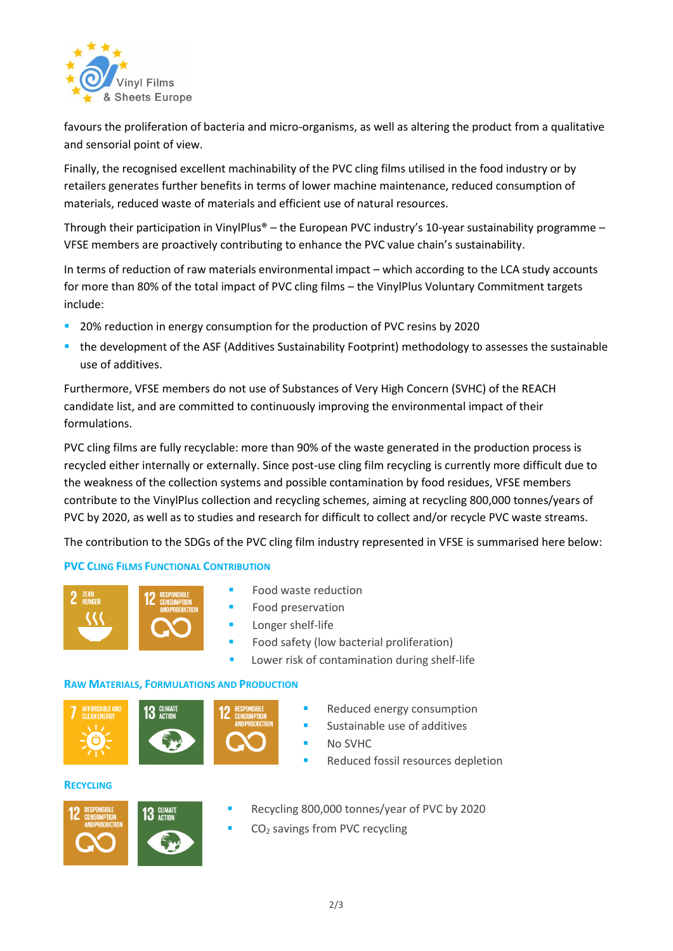

favours the proliferation of bacteria and micro-organisms, as well as altering the product from a qualitative and sensorial point of view.

Finally, the recognised excellent machinability of the PVC cling films utilised in the food industry or by retailers generates further benefits in terms of lower machine maintenance, reduced consumption of materials, reduced waste of materials and efficient use of natural resources.

Through their participation in VinylPlus® – the European PVC industry's 10-year sustainability programme – VFSE members are proactively contributing to enhance the PVC value chain's sustainability.

In terms of reduction of raw materials environmental impact – which according to the LCA study accounts for more than 80% of the total impact of PVC cling films – the VinylPlus Voluntary Commitment targets include:

- 20% reduction in energy consumption for the production of PVC resins by 2020
- the development of the ASF (Additives Sustainability Footprint) methodology to assesses the sustainable use of additives.

Furthermore, VFSE members do not use of Substances of Very High Concern (SVHC) of the REACH candidate list, and are committed to continuously improving the environmental impact of their formulations.

PVC cling films are fully recyclable: more than 90% of the waste generated in the production process is recycled either internally or externally. Since post-use cling film recycling is currently more difficult due to the weakness of the collection systems and possible contamination by food residues, VFSE members contribute to the VinylPlus collection and recycling schemes, aiming at recycling 800,000 tonnes/years of PVC by 2020, as well as to studies and research for difficult to collect and/or recycle PVC waste streams.

The contribution to the SDGs of the PVC cling film industry represented in VFSE is summarised here below:

#### **PVC CLING FILMS FUNCTIONAL CONTRIBUTION**



- Food waste reduction
- Food preservation
- Longer shelf-life
- Food safety (low bacterial proliferation)
- Lower risk of contamination during shelf-life

#### **RAW MATERIALS, FORMULATIONS AND PRODUCTION**





- Reduced energy consumption
- Sustainable use of additives
	- No SVHC
- Reduced fossil resources depletion

#### **RECYCLING**



- Recycling 800,000 tonnes/year of PVC by 2020
- CO<sub>2</sub> savings from PVC recycling